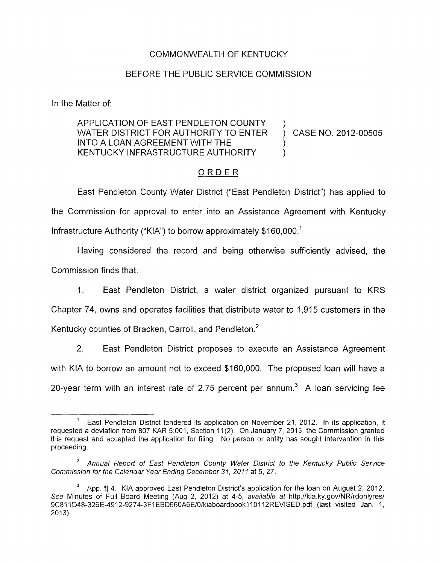## COMMONWEALTH OF KENTUCKY

## BEFORE THE PUBLIC SERVICE COMMISSION

In the Matter of:

## APPLICATION OF EAST PENDLETON COUNTY WATER DISTRICT FOR AUTHORITY TO ENTER ) CASE NO. 2012-00505 INTO A LOAN AGREEMENT WITH THE KENTUCKY INFRASTRUCTURE AUTHORITY

## ORDER

East Pendleton County Water District ("East Pendleton District") has applied to the Commission for approval to enter into an Assistance Agreement with Kentucky Infrastructure Authority ("KIA") to borrow approximately  $$160,000$ .<sup>1</sup>

Having considered the record and being otherwise sufficiently advised, the Commission finds that:

1. East Pendleton District, a water district organized pursuant to KRS

Chapter 74, owns and operates facilities that distribute water to 1,915 customers in the

Kentucky counties of Bracken, Carroll, and Pendleton.<sup>2</sup>

2. East Pendleton District proposes to execute an Assistance Agreement with KIA to borrow an amount not to exceed \$160,000. The proposed loan will have a

20-year term with an interest rate of 2.75 percent per annum.<sup>3</sup> A loan servicing fee

East Pendleton District tendered its application on November **21, 2012.** In its application, it requested a deviation from **807** KAR **5 001,** Section **ll(2) On** January **7, 2013,** the Commission granted this request and accepted the application for filing. No person or entity has sought intervention in this proceeding **1** 

*Annual Report of East Pendlefon County Wafer District to the Kentucky Public Service*  **2**  *Commission for the Calendar Year Ending December 31, 201 1* at **5,27.** 

App. fl **4** KIA approved East Pendleton District's application for the loan **on** August **2, 2012.**  See Minutes of Full Board Meeting (Aug 2, 2012) at 4-5, *available at http://kia.ky.gov/NR/rdonlyres/* **9C81 1 D48-326E-4912-9274-3FI EBD660A6E/O/kiaboardbookl1O112REVISED** pdf (last visited Jan 1, **2013**). **3**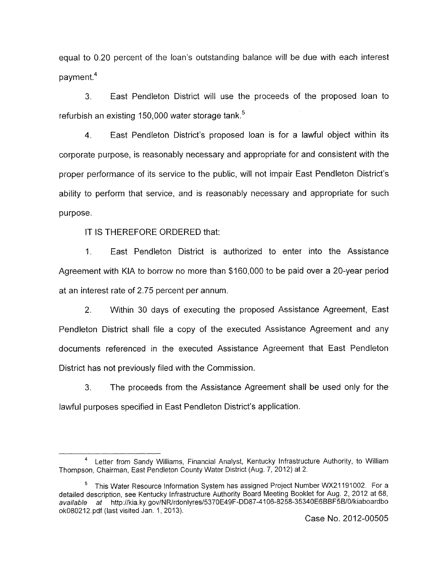equal to 0.20 percent of the loan's outstanding balance will be due with each interest payment. $4$ 

*3.* East Pendleton District will use the proceeds of the proposed loan to refurbish an existing 150,000 water storage tank.<sup>5</sup>

**4.** East Pendleton District's proposed loan is for a lawful object within its corporate purpose, is reasonably necessary and appropriate for and consistent with the proper performance of its service to the public, will not impair East Pendleton District's ability to perform that service, and is reasonably necessary and appropriate for such purpose.

IT IS THEREFORE ORDERED that:

I. East Pendleton District is authorized to enter into the Assistance Agreement with KIA to barrow no more than \$160,000 to be paid over a 20-year period at an interest rate of 2.75 percent per annum.

2. Within 30 days of executing the proposed Assistance Agreement, East Pendleton District shall file a copy of the executed Assistance Agreement and any documents referenced in the executed Assistance Agreement that East Pendleton District has not previously filed with the Commission.

**3.** The proceeds from the Assistance Agreement shall be used only for the lawful purposes specified in East Pendleton District's application.

Letter from Sandy Williams, Financial Analyst, Kentucky Infrastructure Authority, to William **<sup>4</sup>** Thompson, Chairman, East Pendleton County Water District (Aug. *7,* 2012) at 2.

This Water Resource information System has assigned Project Number WX21191002. For a **5** detailed description, see Kentucky infrastructure Authority Board Meeting Booklet for Aug. 2, 2012 at *68, available at* **http.//kia.ky.gov/NR/rdonlyres/5370E49F-DD87-4106-8258-35340E6BBF5B/O/kiaboardbo**  ok080212.pdf (last visited Jan. 1, 2013).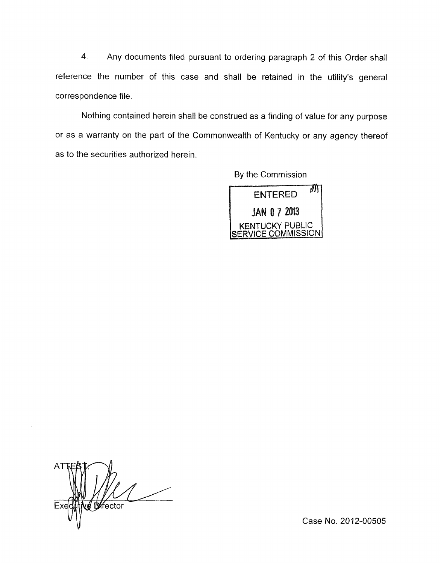**4.** Any documents filed pursuant to ordering paragraph 2 of this Order shall reference the number of this case and shall be retained in the utility's general correspondence file.

Nothing contained herein shall be construed as a finding of value for any purpose or as a warranty on the part of the Commonwealth of Kentucky or any agency thereof as to the securities authorized herein.

By the Commission



**Difector** 

Case No. 2012-00505